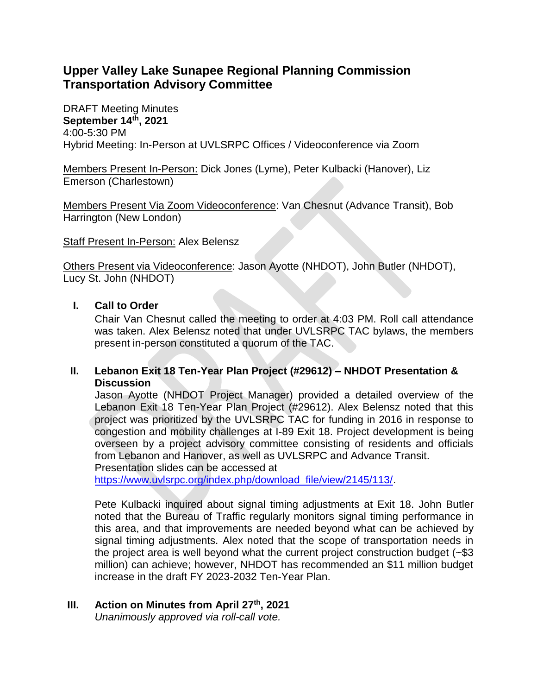# **Upper Valley Lake Sunapee Regional Planning Commission Transportation Advisory Committee**

DRAFT Meeting Minutes **September 14th, 2021** 4:00-5:30 PM Hybrid Meeting: In-Person at UVLSRPC Offices / Videoconference via Zoom

Members Present In-Person: Dick Jones (Lyme), Peter Kulbacki (Hanover), Liz Emerson (Charlestown)

Members Present Via Zoom Videoconference: Van Chesnut (Advance Transit), Bob Harrington (New London)

Staff Present In-Person: Alex Belensz

Others Present via Videoconference: Jason Ayotte (NHDOT), John Butler (NHDOT), Lucy St. John (NHDOT)

### **I. Call to Order**

Chair Van Chesnut called the meeting to order at 4:03 PM. Roll call attendance was taken. Alex Belensz noted that under UVLSRPC TAC bylaws, the members present in-person constituted a quorum of the TAC.

## **II. Lebanon Exit 18 Ten-Year Plan Project (#29612) – NHDOT Presentation & Discussion**

Jason Ayotte (NHDOT Project Manager) provided a detailed overview of the Lebanon Exit 18 Ten-Year Plan Project (#29612). Alex Belensz noted that this project was prioritized by the UVLSRPC TAC for funding in 2016 in response to congestion and mobility challenges at I-89 Exit 18. Project development is being overseen by a project advisory committee consisting of residents and officials from Lebanon and Hanover, as well as UVLSRPC and Advance Transit. Presentation slides can be accessed at

[https://www.uvlsrpc.org/index.php/download\\_file/view/2145/113/.](https://www.uvlsrpc.org/index.php/download_file/view/2145/113/)

Pete Kulbacki inquired about signal timing adjustments at Exit 18. John Butler noted that the Bureau of Traffic regularly monitors signal timing performance in this area, and that improvements are needed beyond what can be achieved by signal timing adjustments. Alex noted that the scope of transportation needs in the project area is well beyond what the current project construction budget (~\$3 million) can achieve; however, NHDOT has recommended an \$11 million budget increase in the draft FY 2023-2032 Ten-Year Plan.

#### **III. Action on Minutes from April 27th, 2021** *Unanimously approved via roll-call vote.*